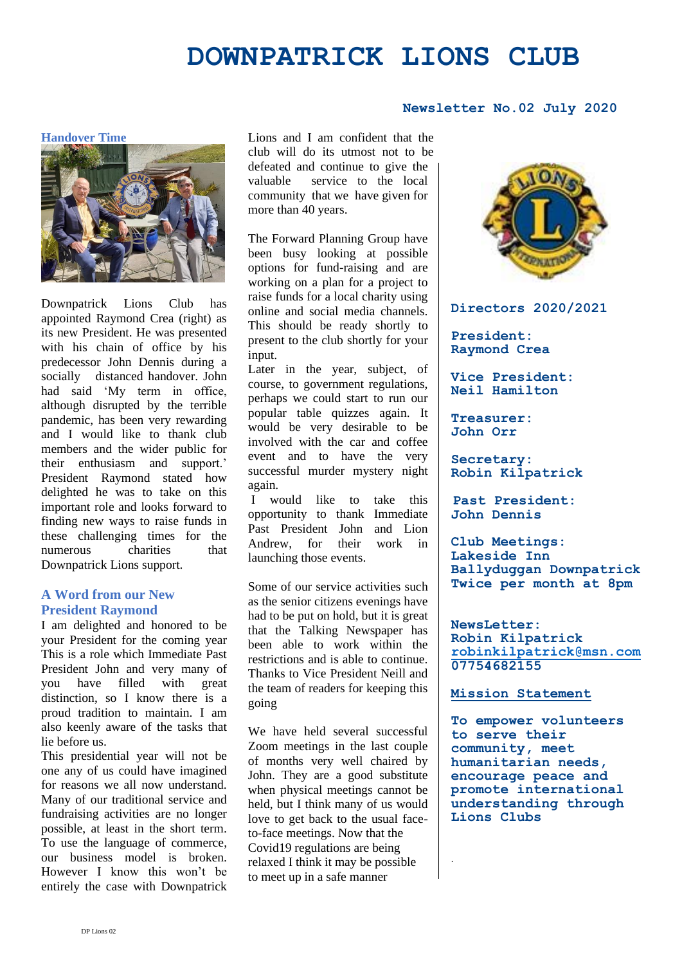# **DOWNPATRICK LIONS CLUB**

## **Newsletter No.02 July 2020**

**Handover Time**



Downpatrick Lions Club has appointed Raymond Crea (right) as its new President. He was presented with his chain of office by his predecessor John Dennis during a socially distanced handover. John had said 'My term in office, although disrupted by the terrible pandemic, has been very rewarding and I would like to thank club members and the wider public for their enthusiasm and support.' President Raymond stated how delighted he was to take on this important role and looks forward to finding new ways to raise funds in these challenging times for the numerous charities that Downpatrick Lions support.

### **A Word from our New President Raymond**

I am delighted and honored to be your President for the coming year This is a role which Immediate Past President John and very many of you have filled with great distinction, so I know there is a proud tradition to maintain. I am also keenly aware of the tasks that lie before us.

This presidential year will not be one any of us could have imagined for reasons we all now understand. Many of our traditional service and fundraising activities are no longer possible, at least in the short term. To use the language of commerce, our business model is broken. However I know this won't be entirely the case with Downpatrick Lions and I am confident that the club will do its utmost not to be defeated and continue to give the valuable service to the local community that we have given for more than 40 years.

The Forward Planning Group have been busy looking at possible options for fund-raising and are working on a plan for a project to raise funds for a local charity using online and social media channels. This should be ready shortly to present to the club shortly for your input.

Later in the year, subject, of course, to government regulations, perhaps we could start to run our popular table quizzes again. It would be very desirable to be involved with the car and coffee event and to have the very successful murder mystery night again.

I would like to take this opportunity to thank Immediate Past President John and Lion Andrew, for their work in launching those events.

Some of our service activities such as the senior citizens evenings have had to be put on hold, but it is great that the Talking Newspaper has been able to work within the restrictions and is able to continue. Thanks to Vice President Neill and the team of readers for keeping this going

We have held several successful Zoom meetings in the last couple of months very well chaired by John. They are a good substitute when physical meetings cannot be held, but I think many of us would love to get back to the usual faceto-face meetings. Now that the Covid19 regulations are being relaxed I think it may be possible to meet up in a safe manner



**Directors 2020/2021**

**President: Raymond Crea**

**Vice President: Neil Hamilton**

**Treasurer: John Orr**

**Secretary: Robin Kilpatrick**

**Past President: John Dennis**

**Club Meetings: Lakeside Inn Ballyduggan Downpatrick Twice per month at 8pm**

**NewsLetter: Robin Kilpatrick [robinkilpatrick@msn.com](mailto:robinkilpatrick@msn.com) 07754682155**

#### **Mission Statement**

.

**To empower volunteers to serve their community, meet humanitarian needs, encourage peace and promote international understanding through Lions Clubs**